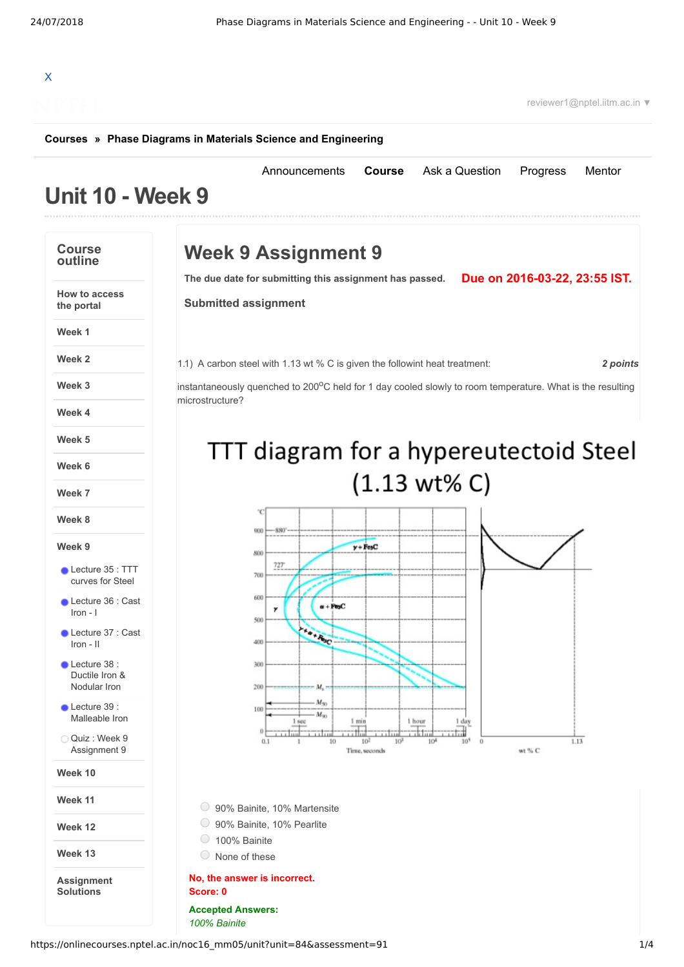[Announcements](https://onlinecourses.nptel.ac.in/noc16_mm05/announcements) **[Course](https://onlinecourses.nptel.ac.in/noc16_mm05/course)** [Ask a Question](https://onlinecourses.nptel.ac.in/noc16_mm05/forum) [Progress](https://onlinecourses.nptel.ac.in/noc16_mm05/student/home) [Mentor](https://onlinecourses.nptel.ac.in/noc16_mm05/student/mentor)

# X

reviewer1@nptel.iitm.ac.in ▼

#### **[Courses](https://onlinecourses.nptel.ac.in/) » [Phase Diagrams in Materials Science and Engineering](https://onlinecourses.nptel.ac.in/noc16_mm05/course)**

## **Unit 10 - Week 9**

| <b>Course</b><br>outline                                 | <b>Week 9 Assignment 9</b><br>Due on 2016-03-22, 23:55 IST.                                                                         |
|----------------------------------------------------------|-------------------------------------------------------------------------------------------------------------------------------------|
| <b>How to access</b><br>the portal                       | The due date for submitting this assignment has passed.<br><b>Submitted assignment</b>                                              |
| Week 1                                                   |                                                                                                                                     |
| Week 2                                                   | 1.1) A carbon steel with 1.13 wt % C is given the followint heat treatment:<br>2 points                                             |
| Week 3                                                   | instantaneously quenched to 200°C held for 1 day cooled slowly to room temperature. What is the resulting                           |
| Week 4                                                   | microstructure?                                                                                                                     |
| Week 5                                                   | TTT diagram for a hypereutectoid Steel                                                                                              |
| Week 6                                                   |                                                                                                                                     |
| Week 7                                                   | $(1.13 \text{ wt\% C})$                                                                                                             |
| Week 8                                                   | °C<br>900<br>-880                                                                                                                   |
| Week 9                                                   | $y + Fc_3C$<br>800                                                                                                                  |
| Lecture 35 : TTT<br>curves for Steel                     | 727'<br>700                                                                                                                         |
| Lecture 36 : Cast<br>$Iron - I$                          | 600<br>$\alpha$ + FesC<br>γ<br>500                                                                                                  |
| Lecture 37 : Cast<br>$Iron - II$                         | <b>RAC</b><br>400                                                                                                                   |
| $\bullet$ Lecture 38 :<br>Ductile Iron &<br>Nodular Iron | 300<br>200<br>м.                                                                                                                    |
| Lecture 39 :<br>Malleable Iron                           | $M_{50}$<br>100<br>$-M_{\rm 9D}$<br>1 hour<br>1 sec<br>1 min<br>1 day                                                               |
| Quiz : Week 9<br>Assignment 9                            | 0.1<br>10<br>$10^{2}$<br>10 <sub>1</sub><br>10 <sup>4</sup><br>10 <sup>3</sup><br>$\overline{0}$<br>1.13<br>wt % C<br>Time, seconds |
| Week 10                                                  |                                                                                                                                     |
| Week 11                                                  | 90% Bainite, 10% Martensite                                                                                                         |
| Week 12                                                  | 90% Bainite, 10% Pearlite<br>100% Bainite                                                                                           |
| Week 13                                                  | None of these<br>$\cup$                                                                                                             |
| <b>Assignment</b><br><b>Solutions</b>                    | No, the answer is incorrect.<br>Score: 0                                                                                            |
|                                                          | <b>Accepted Answers:</b><br>100% Bainite                                                                                            |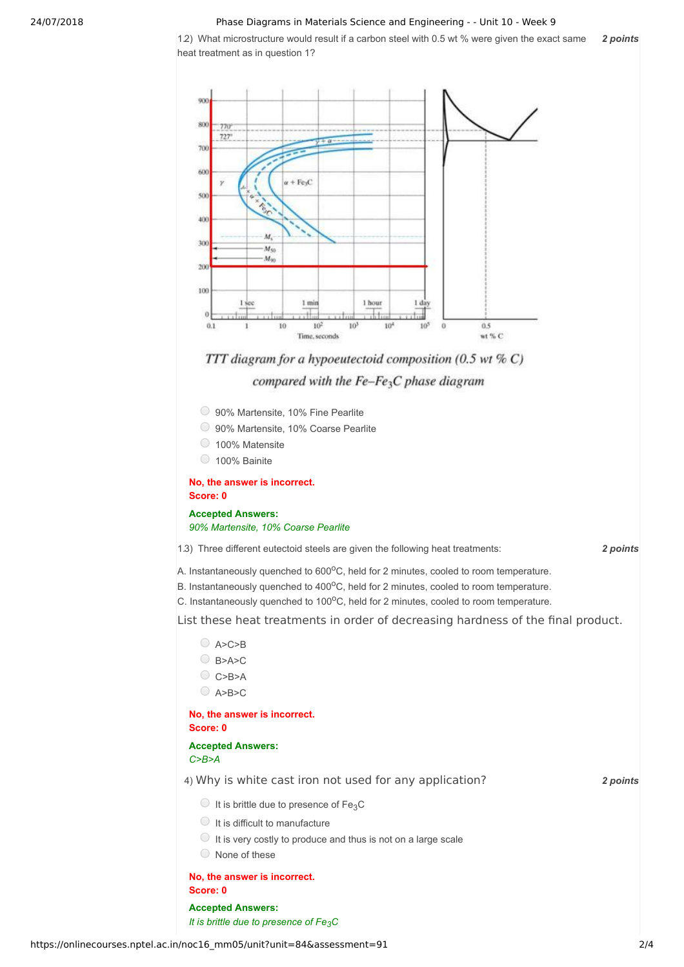#### 24/07/2018 Phase Diagrams in Materials Science and Engineering - - Unit 10 - Week 9

1.2) What microstructure would result if a carbon steel with 0.5 wt % were given the exact same 2 points heat treatment as in question 1?



*It is brittle due to presence of Fe3C*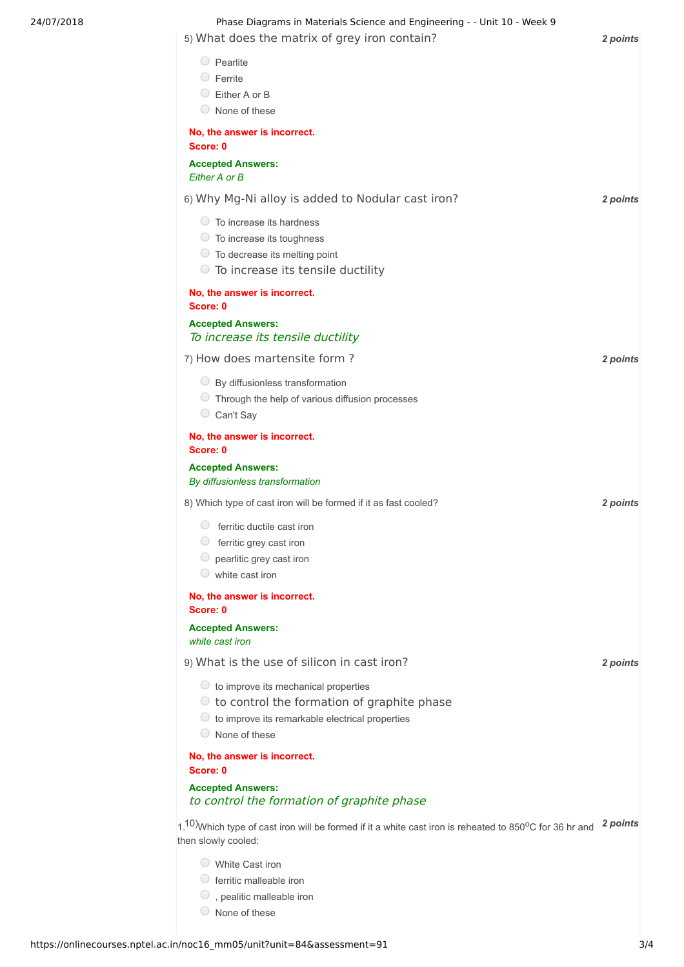#### 24/07/2018 Phase Diagrams in Materials Science and Engineering - - Unit 10 - Week 9

| 5) What does the matrix of grey iron contain?                                                                                                                             | 2 points |
|---------------------------------------------------------------------------------------------------------------------------------------------------------------------------|----------|
| $\heartsuit$ Pearlite<br>$\circ$ Ferrite<br>$\circ$ Either A or B<br>$\bigcirc$<br>None of these                                                                          |          |
| No, the answer is incorrect.<br>Score: 0                                                                                                                                  |          |
| <b>Accepted Answers:</b><br>Either A or B                                                                                                                                 |          |
| 6) Why Mg-Ni alloy is added to Nodular cast iron?                                                                                                                         | 2 points |
| $\circ$ To increase its hardness<br><b>t</b> To increase its toughness<br>$\circ$ To decrease its melting point<br>$\circ$ To increase its tensile ductility              |          |
| No, the answer is incorrect.<br>Score: 0                                                                                                                                  |          |
| <b>Accepted Answers:</b><br>To increase its tensile ductility                                                                                                             |          |
| 7) How does martensite form?                                                                                                                                              | 2 points |
| $\circ$ By diffusionless transformation<br>$\bigcirc$ Through the help of various diffusion processes<br>O<br>Can't Say                                                   |          |
| No, the answer is incorrect.<br>Score: 0                                                                                                                                  |          |
| <b>Accepted Answers:</b><br>By diffusionless transformation                                                                                                               |          |
| 8) Which type of cast iron will be formed if it as fast cooled?                                                                                                           | 2 points |
| ferritic ductile cast iron<br>ferritic grey cast iron<br>$\circ$ pearlitic grey cast iron<br>white cast iron                                                              |          |
| No, the answer is incorrect.<br>Score: 0                                                                                                                                  |          |
| <b>Accepted Answers:</b><br>white cast iron                                                                                                                               |          |
| 9) What is the use of silicon in cast iron?                                                                                                                               | 2 points |
| $\circledcirc$ to improve its mechanical properties<br>○ to control the formation of graphite phase<br>to improve its remarkable electrical properties<br>◯ None of these |          |
| No, the answer is incorrect.<br>Score: 0                                                                                                                                  |          |
| <b>Accepted Answers:</b><br>to control the formation of graphite phase                                                                                                    |          |
| 1. <sup>10</sup> )Which type of cast iron will be formed if it a white cast iron is reheated to 850°C for 36 hr and<br>then slowly cooled:                                | 2 points |
| $\circ$ White Cast iron<br>$\circ$ ferritic malleable iron                                                                                                                |          |

- , pealitic malleable iron
- None of these